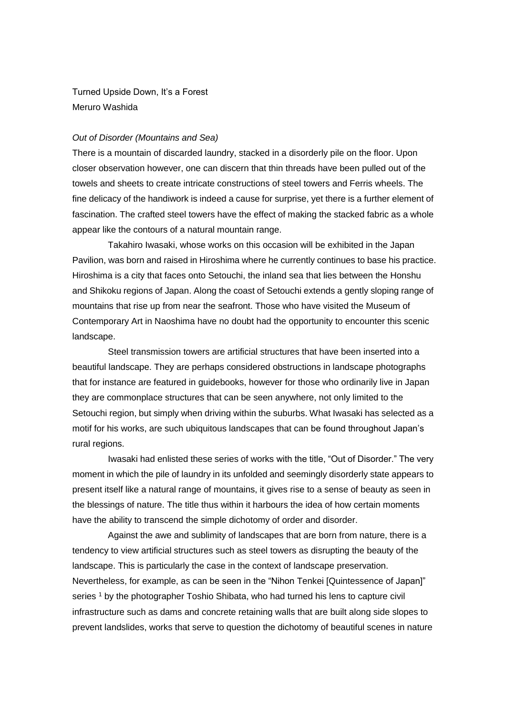Turned Upside Down, It's a Forest Meruro Washida

## *Out of Disorder (Mountains and Sea)*

There is a mountain of discarded laundry, stacked in a disorderly pile on the floor. Upon closer observation however, one can discern that thin threads have been pulled out of the towels and sheets to create intricate constructions of steel towers and Ferris wheels. The fine delicacy of the handiwork is indeed a cause for surprise, yet there is a further element of fascination. The crafted steel towers have the effect of making the stacked fabric as a whole appear like the contours of a natural mountain range.

Takahiro Iwasaki, whose works on this occasion will be exhibited in the Japan Pavilion, was born and raised in Hiroshima where he currently continues to base his practice. Hiroshima is a city that faces onto Setouchi, the inland sea that lies between the Honshu and Shikoku regions of Japan. Along the coast of Setouchi extends a gently sloping range of mountains that rise up from near the seafront. Those who have visited the Museum of Contemporary Art in Naoshima have no doubt had the opportunity to encounter this scenic landscape.

Steel transmission towers are artificial structures that have been inserted into a beautiful landscape. They are perhaps considered obstructions in landscape photographs that for instance are featured in guidebooks, however for those who ordinarily live in Japan they are commonplace structures that can be seen anywhere, not only limited to the Setouchi region, but simply when driving within the suburbs. What Iwasaki has selected as a motif for his works, are such ubiquitous landscapes that can be found throughout Japan's rural regions.

Iwasaki had enlisted these series of works with the title, "Out of Disorder." The very moment in which the pile of laundry in its unfolded and seemingly disorderly state appears to present itself like a natural range of mountains, it gives rise to a sense of beauty as seen in the blessings of nature. The title thus within it harbours the idea of how certain moments have the ability to transcend the simple dichotomy of order and disorder.

Against the awe and sublimity of landscapes that are born from nature, there is a tendency to view artificial structures such as steel towers as disrupting the beauty of the landscape. This is particularly the case in the context of landscape preservation. Nevertheless, for example, as can be seen in the "Nihon Tenkei [Quintessence of Japan]" series<sup>1</sup> by the photographer Toshio Shibata, who had turned his lens to capture civil infrastructure such as dams and concrete retaining walls that are built along side slopes to prevent landslides, works that serve to question the dichotomy of beautiful scenes in nature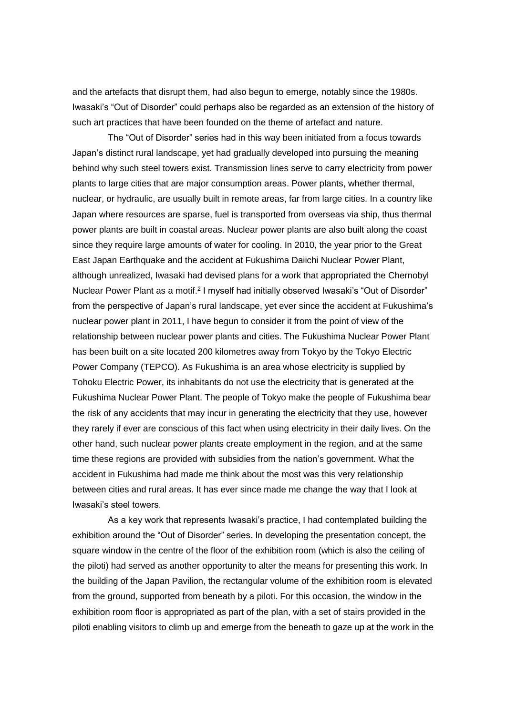and the artefacts that disrupt them, had also begun to emerge, notably since the 1980s. Iwasaki's "Out of Disorder" could perhaps also be regarded as an extension of the history of such art practices that have been founded on the theme of artefact and nature.

The "Out of Disorder" series had in this way been initiated from a focus towards Japan's distinct rural landscape, yet had gradually developed into pursuing the meaning behind why such steel towers exist. Transmission lines serve to carry electricity from power plants to large cities that are major consumption areas. Power plants, whether thermal, nuclear, or hydraulic, are usually built in remote areas, far from large cities. In a country like Japan where resources are sparse, fuel is transported from overseas via ship, thus thermal power plants are built in coastal areas. Nuclear power plants are also built along the coast since they require large amounts of water for cooling. In 2010, the year prior to the Great East Japan Earthquake and the accident at Fukushima Daiichi Nuclear Power Plant, although unrealized, Iwasaki had devised plans for a work that appropriated the Chernobyl Nuclear Power Plant as a motif.<sup>2</sup> I myself had initially observed Iwasaki's "Out of Disorder" from the perspective of Japan's rural landscape, yet ever since the accident at Fukushima's nuclear power plant in 2011, I have begun to consider it from the point of view of the relationship between nuclear power plants and cities. The Fukushima Nuclear Power Plant has been built on a site located 200 kilometres away from Tokyo by the Tokyo Electric Power Company (TEPCO). As Fukushima is an area whose electricity is supplied by Tohoku Electric Power, its inhabitants do not use the electricity that is generated at the Fukushima Nuclear Power Plant. The people of Tokyo make the people of Fukushima bear the risk of any accidents that may incur in generating the electricity that they use, however they rarely if ever are conscious of this fact when using electricity in their daily lives. On the other hand, such nuclear power plants create employment in the region, and at the same time these regions are provided with subsidies from the nation's government. What the accident in Fukushima had made me think about the most was this very relationship between cities and rural areas. It has ever since made me change the way that I look at Iwasaki's steel towers.

As a key work that represents Iwasaki's practice, I had contemplated building the exhibition around the "Out of Disorder" series. In developing the presentation concept, the square window in the centre of the floor of the exhibition room (which is also the ceiling of the piloti) had served as another opportunity to alter the means for presenting this work. In the building of the Japan Pavilion, the rectangular volume of the exhibition room is elevated from the ground, supported from beneath by a piloti. For this occasion, the window in the exhibition room floor is appropriated as part of the plan, with a set of stairs provided in the piloti enabling visitors to climb up and emerge from the beneath to gaze up at the work in the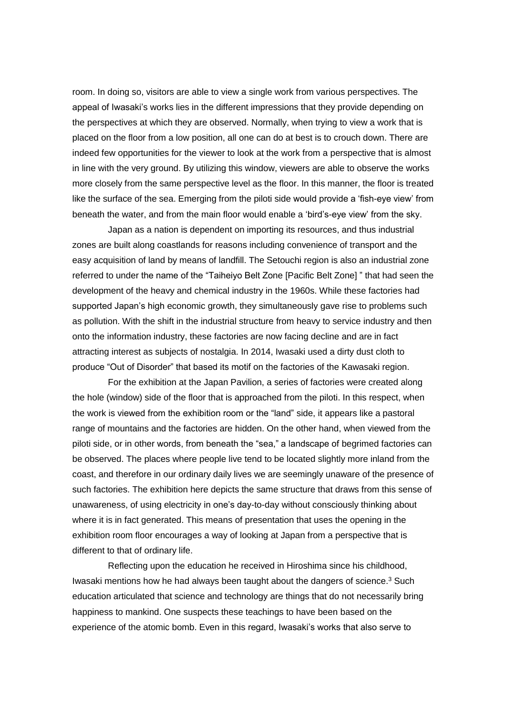room. In doing so, visitors are able to view a single work from various perspectives. The appeal of Iwasaki's works lies in the different impressions that they provide depending on the perspectives at which they are observed. Normally, when trying to view a work that is placed on the floor from a low position, all one can do at best is to crouch down. There are indeed few opportunities for the viewer to look at the work from a perspective that is almost in line with the very ground. By utilizing this window, viewers are able to observe the works more closely from the same perspective level as the floor. In this manner, the floor is treated like the surface of the sea. Emerging from the piloti side would provide a 'fish-eye view' from beneath the water, and from the main floor would enable a 'bird's-eye view' from the sky.

Japan as a nation is dependent on importing its resources, and thus industrial zones are built along coastlands for reasons including convenience of transport and the easy acquisition of land by means of landfill. The Setouchi region is also an industrial zone referred to under the name of the "Taiheiyo Belt Zone [Pacific Belt Zone] " that had seen the development of the heavy and chemical industry in the 1960s. While these factories had supported Japan's high economic growth, they simultaneously gave rise to problems such as pollution. With the shift in the industrial structure from heavy to service industry and then onto the information industry, these factories are now facing decline and are in fact attracting interest as subjects of nostalgia. In 2014, Iwasaki used a dirty dust cloth to produce "Out of Disorder" that based its motif on the factories of the Kawasaki region.

For the exhibition at the Japan Pavilion, a series of factories were created along the hole (window) side of the floor that is approached from the piloti. In this respect, when the work is viewed from the exhibition room or the "land" side, it appears like a pastoral range of mountains and the factories are hidden. On the other hand, when viewed from the piloti side, or in other words, from beneath the "sea," a landscape of begrimed factories can be observed. The places where people live tend to be located slightly more inland from the coast, and therefore in our ordinary daily lives we are seemingly unaware of the presence of such factories. The exhibition here depicts the same structure that draws from this sense of unawareness, of using electricity in one's day-to-day without consciously thinking about where it is in fact generated. This means of presentation that uses the opening in the exhibition room floor encourages a way of looking at Japan from a perspective that is different to that of ordinary life.

Reflecting upon the education he received in Hiroshima since his childhood, Iwasaki mentions how he had always been taught about the dangers of science.<sup>3</sup> Such education articulated that science and technology are things that do not necessarily bring happiness to mankind. One suspects these teachings to have been based on the experience of the atomic bomb. Even in this regard, Iwasaki's works that also serve to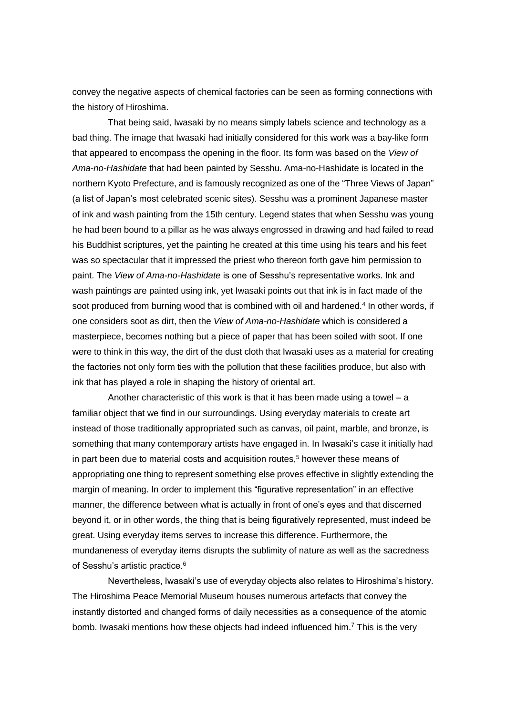convey the negative aspects of chemical factories can be seen as forming connections with the history of Hiroshima.

That being said, Iwasaki by no means simply labels science and technology as a bad thing. The image that Iwasaki had initially considered for this work was a bay-like form that appeared to encompass the opening in the floor. Its form was based on the *View of Ama-no-Hashidate* that had been painted by Sesshu. Ama-no-Hashidate is located in the northern Kyoto Prefecture, and is famously recognized as one of the "Three Views of Japan" (a list of Japan's most celebrated scenic sites). Sesshu was a prominent Japanese master of ink and wash painting from the 15th century. Legend states that when Sesshu was young he had been bound to a pillar as he was always engrossed in drawing and had failed to read his Buddhist scriptures, yet the painting he created at this time using his tears and his feet was so spectacular that it impressed the priest who thereon forth gave him permission to paint. The *View of Ama-no-Hashidate* is one of Sesshu's representative works. Ink and wash paintings are painted using ink, yet Iwasaki points out that ink is in fact made of the soot produced from burning wood that is combined with oil and hardened.<sup>4</sup> In other words, if one considers soot as dirt, then the *View of Ama-no-Hashidate* which is considered a masterpiece, becomes nothing but a piece of paper that has been soiled with soot. If one were to think in this way, the dirt of the dust cloth that Iwasaki uses as a material for creating the factories not only form ties with the pollution that these facilities produce, but also with ink that has played a role in shaping the history of oriental art.

Another characteristic of this work is that it has been made using a towel  $-a$ familiar object that we find in our surroundings. Using everyday materials to create art instead of those traditionally appropriated such as canvas, oil paint, marble, and bronze, is something that many contemporary artists have engaged in. In Iwasaki's case it initially had in part been due to material costs and acquisition routes, <sup>5</sup> however these means of appropriating one thing to represent something else proves effective in slightly extending the margin of meaning. In order to implement this "figurative representation" in an effective manner, the difference between what is actually in front of one's eyes and that discerned beyond it, or in other words, the thing that is being figuratively represented, must indeed be great. Using everyday items serves to increase this difference. Furthermore, the mundaneness of everyday items disrupts the sublimity of nature as well as the sacredness of Sesshu's artistic practice.<sup>6</sup>

Nevertheless, Iwasaki's use of everyday objects also relates to Hiroshima's history. The Hiroshima Peace Memorial Museum houses numerous artefacts that convey the instantly distorted and changed forms of daily necessities as a consequence of the atomic bomb. Iwasaki mentions how these objects had indeed influenced him.<sup>7</sup> This is the very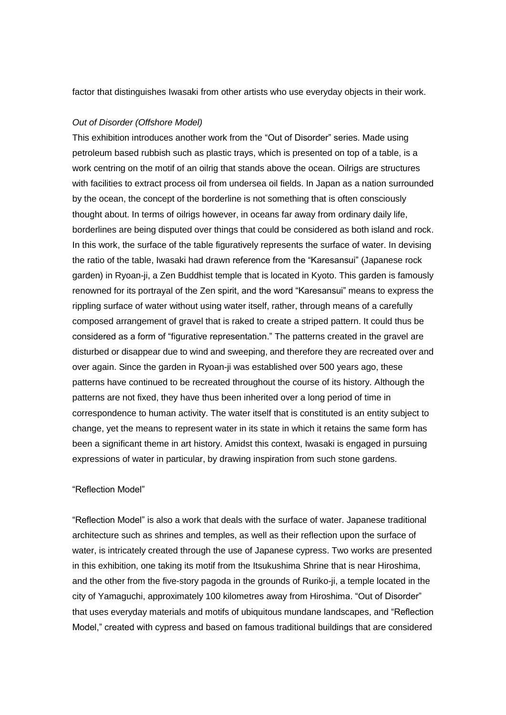factor that distinguishes Iwasaki from other artists who use everyday objects in their work.

# *Out of Disorder (Offshore Model)*

This exhibition introduces another work from the "Out of Disorder" series. Made using petroleum based rubbish such as plastic trays, which is presented on top of a table, is a work centring on the motif of an oilrig that stands above the ocean. Oilrigs are structures with facilities to extract process oil from undersea oil fields. In Japan as a nation surrounded by the ocean, the concept of the borderline is not something that is often consciously thought about. In terms of oilrigs however, in oceans far away from ordinary daily life, borderlines are being disputed over things that could be considered as both island and rock. In this work, the surface of the table figuratively represents the surface of water. In devising the ratio of the table, Iwasaki had drawn reference from the "Karesansui" (Japanese rock garden) in Ryoan-ji, a Zen Buddhist temple that is located in Kyoto. This garden is famously renowned for its portrayal of the Zen spirit, and the word "Karesansui" means to express the rippling surface of water without using water itself, rather, through means of a carefully composed arrangement of gravel that is raked to create a striped pattern. It could thus be considered as a form of "figurative representation." The patterns created in the gravel are disturbed or disappear due to wind and sweeping, and therefore they are recreated over and over again. Since the garden in Ryoan-ji was established over 500 years ago, these patterns have continued to be recreated throughout the course of its history. Although the patterns are not fixed, they have thus been inherited over a long period of time in correspondence to human activity. The water itself that is constituted is an entity subject to change, yet the means to represent water in its state in which it retains the same form has been a significant theme in art history. Amidst this context, Iwasaki is engaged in pursuing expressions of water in particular, by drawing inspiration from such stone gardens.

## "Reflection Model"

"Reflection Model" is also a work that deals with the surface of water. Japanese traditional architecture such as shrines and temples, as well as their reflection upon the surface of water, is intricately created through the use of Japanese cypress. Two works are presented in this exhibition, one taking its motif from the Itsukushima Shrine that is near Hiroshima, and the other from the five-story pagoda in the grounds of Ruriko-ji, a temple located in the city of Yamaguchi, approximately 100 kilometres away from Hiroshima. "Out of Disorder" that uses everyday materials and motifs of ubiquitous mundane landscapes, and "Reflection Model," created with cypress and based on famous traditional buildings that are considered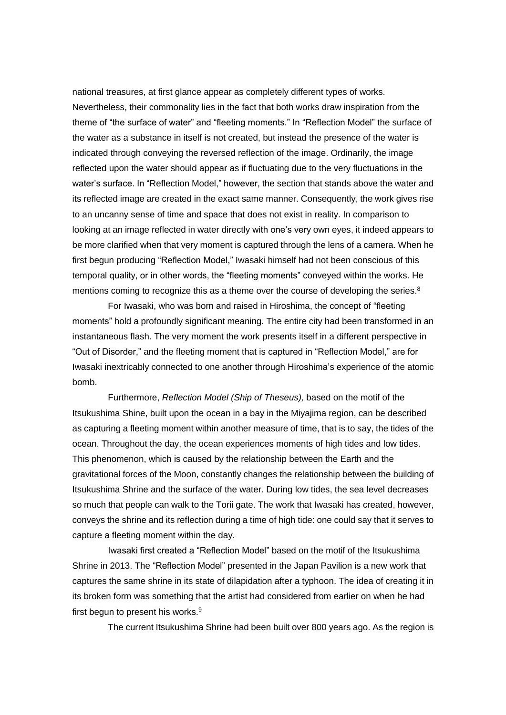national treasures, at first glance appear as completely different types of works. Nevertheless, their commonality lies in the fact that both works draw inspiration from the theme of "the surface of water" and "fleeting moments." In "Reflection Model" the surface of the water as a substance in itself is not created, but instead the presence of the water is indicated through conveying the reversed reflection of the image. Ordinarily, the image reflected upon the water should appear as if fluctuating due to the very fluctuations in the water's surface. In "Reflection Model," however, the section that stands above the water and its reflected image are created in the exact same manner. Consequently, the work gives rise to an uncanny sense of time and space that does not exist in reality. In comparison to looking at an image reflected in water directly with one's very own eyes, it indeed appears to be more clarified when that very moment is captured through the lens of a camera. When he first begun producing "Reflection Model," Iwasaki himself had not been conscious of this temporal quality, or in other words, the "fleeting moments" conveyed within the works. He mentions coming to recognize this as a theme over the course of developing the series.<sup>8</sup>

For Iwasaki, who was born and raised in Hiroshima, the concept of "fleeting moments" hold a profoundly significant meaning. The entire city had been transformed in an instantaneous flash. The very moment the work presents itself in a different perspective in "Out of Disorder," and the fleeting moment that is captured in "Reflection Model," are for Iwasaki inextricably connected to one another through Hiroshima's experience of the atomic bomb.

Furthermore, *Reflection Model (Ship of Theseus),* based on the motif of the Itsukushima Shine, built upon the ocean in a bay in the Miyajima region, can be described as capturing a fleeting moment within another measure of time, that is to say, the tides of the ocean. Throughout the day, the ocean experiences moments of high tides and low tides. This phenomenon, which is caused by the relationship between the Earth and the gravitational forces of the Moon, constantly changes the relationship between the building of Itsukushima Shrine and the surface of the water. During low tides, the sea level decreases so much that people can walk to the Torii gate. The work that Iwasaki has created, however, conveys the shrine and its reflection during a time of high tide: one could say that it serves to capture a fleeting moment within the day.

Iwasaki first created a "Reflection Model" based on the motif of the Itsukushima Shrine in 2013. The "Reflection Model" presented in the Japan Pavilion is a new work that captures the same shrine in its state of dilapidation after a typhoon. The idea of creating it in its broken form was something that the artist had considered from earlier on when he had first begun to present his works. $9$ 

The current Itsukushima Shrine had been built over 800 years ago. As the region is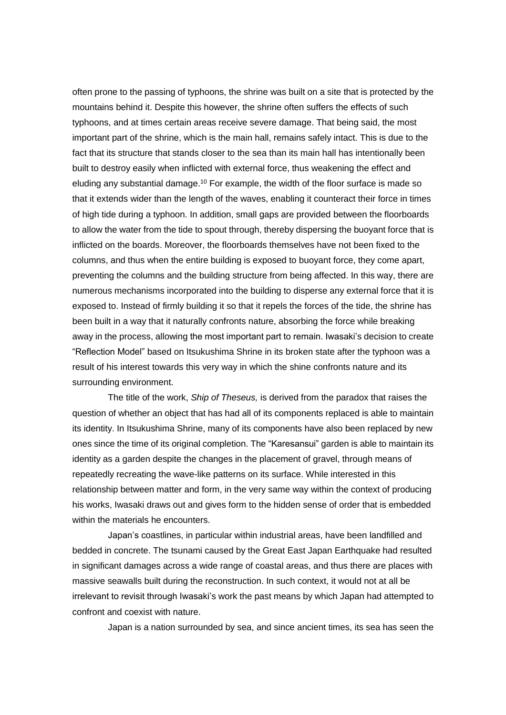often prone to the passing of typhoons, the shrine was built on a site that is protected by the mountains behind it. Despite this however, the shrine often suffers the effects of such typhoons, and at times certain areas receive severe damage. That being said, the most important part of the shrine, which is the main hall, remains safely intact. This is due to the fact that its structure that stands closer to the sea than its main hall has intentionally been built to destroy easily when inflicted with external force, thus weakening the effect and eluding any substantial damage.<sup>10</sup> For example, the width of the floor surface is made so that it extends wider than the length of the waves, enabling it counteract their force in times of high tide during a typhoon. In addition, small gaps are provided between the floorboards to allow the water from the tide to spout through, thereby dispersing the buoyant force that is inflicted on the boards. Moreover, the floorboards themselves have not been fixed to the columns, and thus when the entire building is exposed to buoyant force, they come apart, preventing the columns and the building structure from being affected. In this way, there are numerous mechanisms incorporated into the building to disperse any external force that it is exposed to. Instead of firmly building it so that it repels the forces of the tide, the shrine has been built in a way that it naturally confronts nature, absorbing the force while breaking away in the process, allowing the most important part to remain. Iwasaki's decision to create "Reflection Model" based on Itsukushima Shrine in its broken state after the typhoon was a result of his interest towards this very way in which the shine confronts nature and its surrounding environment.

The title of the work, *Ship of Theseus,* is derived from the paradox that raises the question of whether an object that has had all of its components replaced is able to maintain its identity. In Itsukushima Shrine, many of its components have also been replaced by new ones since the time of its original completion. The "Karesansui" garden is able to maintain its identity as a garden despite the changes in the placement of gravel, through means of repeatedly recreating the wave-like patterns on its surface. While interested in this relationship between matter and form, in the very same way within the context of producing his works, Iwasaki draws out and gives form to the hidden sense of order that is embedded within the materials he encounters.

Japan's coastlines, in particular within industrial areas, have been landfilled and bedded in concrete. The tsunami caused by the Great East Japan Earthquake had resulted in significant damages across a wide range of coastal areas, and thus there are places with massive seawalls built during the reconstruction. In such context, it would not at all be irrelevant to revisit through Iwasaki's work the past means by which Japan had attempted to confront and coexist with nature.

Japan is a nation surrounded by sea, and since ancient times, its sea has seen the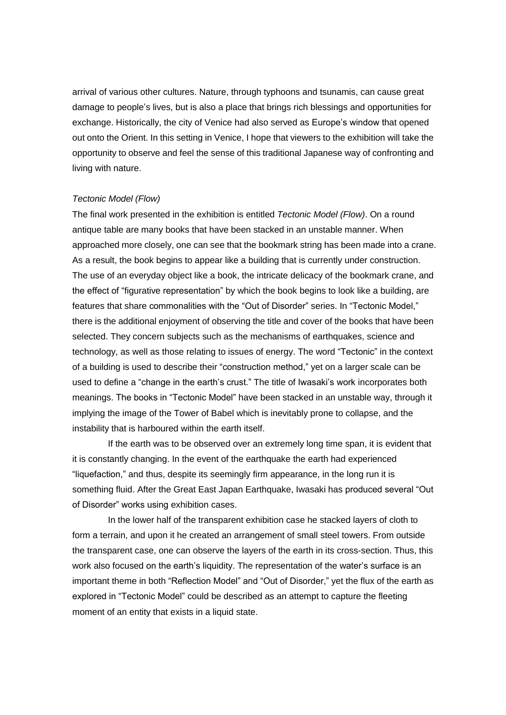arrival of various other cultures. Nature, through typhoons and tsunamis, can cause great damage to people's lives, but is also a place that brings rich blessings and opportunities for exchange. Historically, the city of Venice had also served as Europe's window that opened out onto the Orient. In this setting in Venice, I hope that viewers to the exhibition will take the opportunity to observe and feel the sense of this traditional Japanese way of confronting and living with nature.

## *Tectonic Model (Flow)*

The final work presented in the exhibition is entitled *Tectonic Model (Flow)*. On a round antique table are many books that have been stacked in an unstable manner. When approached more closely, one can see that the bookmark string has been made into a crane. As a result, the book begins to appear like a building that is currently under construction. The use of an everyday object like a book, the intricate delicacy of the bookmark crane, and the effect of "figurative representation" by which the book begins to look like a building, are features that share commonalities with the "Out of Disorder" series. In "Tectonic Model," there is the additional enjoyment of observing the title and cover of the books that have been selected. They concern subjects such as the mechanisms of earthquakes, science and technology, as well as those relating to issues of energy. The word "Tectonic" in the context of a building is used to describe their "construction method," yet on a larger scale can be used to define a "change in the earth's crust." The title of Iwasaki's work incorporates both meanings. The books in "Tectonic Model" have been stacked in an unstable way, through it implying the image of the Tower of Babel which is inevitably prone to collapse, and the instability that is harboured within the earth itself.

If the earth was to be observed over an extremely long time span, it is evident that it is constantly changing. In the event of the earthquake the earth had experienced "liquefaction," and thus, despite its seemingly firm appearance, in the long run it is something fluid. After the Great East Japan Earthquake, Iwasaki has produced several "Out of Disorder" works using exhibition cases.

In the lower half of the transparent exhibition case he stacked layers of cloth to form a terrain, and upon it he created an arrangement of small steel towers. From outside the transparent case, one can observe the layers of the earth in its cross-section. Thus, this work also focused on the earth's liquidity. The representation of the water's surface is an important theme in both "Reflection Model" and "Out of Disorder," yet the flux of the earth as explored in "Tectonic Model" could be described as an attempt to capture the fleeting moment of an entity that exists in a liquid state.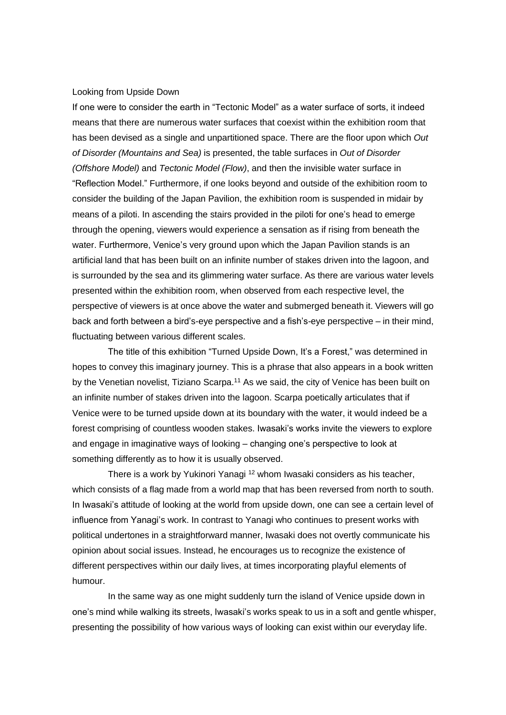## Looking from Upside Down

If one were to consider the earth in "Tectonic Model" as a water surface of sorts, it indeed means that there are numerous water surfaces that coexist within the exhibition room that has been devised as a single and unpartitioned space. There are the floor upon which *Out of Disorder (Mountains and Sea)* is presented, the table surfaces in *Out of Disorder (Offshore Model)* and *Tectonic Model (Flow)*, and then the invisible water surface in "Reflection Model." Furthermore, if one looks beyond and outside of the exhibition room to consider the building of the Japan Pavilion, the exhibition room is suspended in midair by means of a piloti. In ascending the stairs provided in the piloti for one's head to emerge through the opening, viewers would experience a sensation as if rising from beneath the water. Furthermore, Venice's very ground upon which the Japan Pavilion stands is an artificial land that has been built on an infinite number of stakes driven into the lagoon, and is surrounded by the sea and its glimmering water surface. As there are various water levels presented within the exhibition room, when observed from each respective level, the perspective of viewers is at once above the water and submerged beneath it. Viewers will go back and forth between a bird's-eye perspective and a fish's-eye perspective – in their mind, fluctuating between various different scales.

The title of this exhibition "Turned Upside Down, It's a Forest," was determined in hopes to convey this imaginary journey. This is a phrase that also appears in a book written by the Venetian novelist, Tiziano Scarpa.<sup>11</sup> As we said, the city of Venice has been built on an infinite number of stakes driven into the lagoon. Scarpa poetically articulates that if Venice were to be turned upside down at its boundary with the water, it would indeed be a forest comprising of countless wooden stakes. Iwasaki's works invite the viewers to explore and engage in imaginative ways of looking – changing one's perspective to look at something differently as to how it is usually observed.

There is a work by Yukinori Yanagi <sup>12</sup> whom Iwasaki considers as his teacher, which consists of a flag made from a world map that has been reversed from north to south. In Iwasaki's attitude of looking at the world from upside down, one can see a certain level of influence from Yanagi's work. In contrast to Yanagi who continues to present works with political undertones in a straightforward manner, Iwasaki does not overtly communicate his opinion about social issues. Instead, he encourages us to recognize the existence of different perspectives within our daily lives, at times incorporating playful elements of humour.

In the same way as one might suddenly turn the island of Venice upside down in one's mind while walking its streets, Iwasaki's works speak to us in a soft and gentle whisper, presenting the possibility of how various ways of looking can exist within our everyday life.